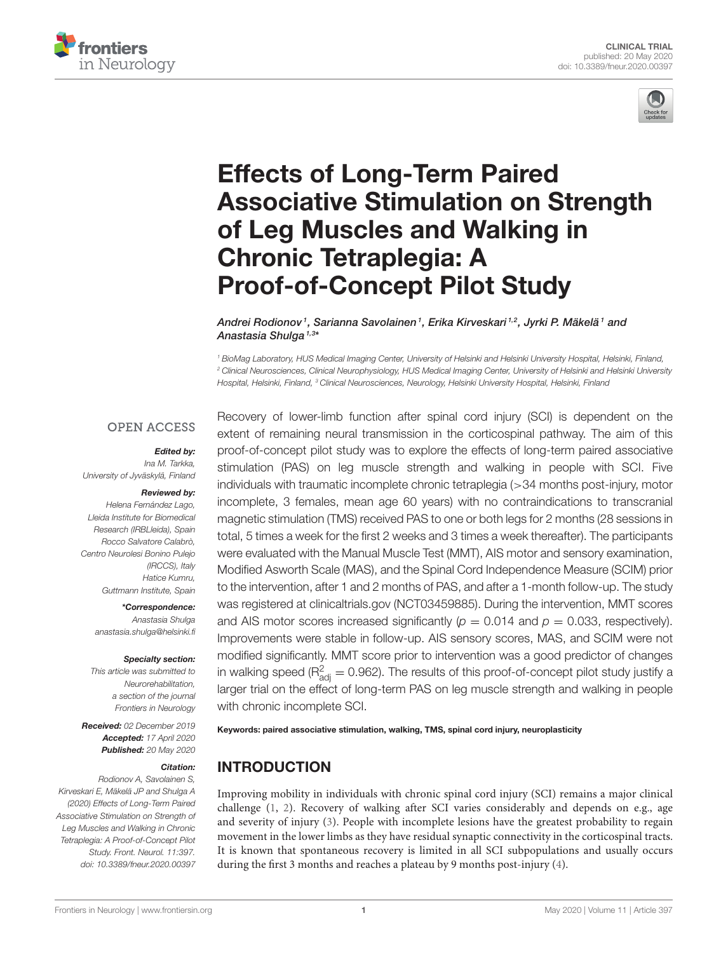



# Effects of Long-Term Paired [Associative Stimulation on Strength](https://www.frontiersin.org/articles/10.3389/fneur.2020.00397/full) of Leg Muscles and Walking in Chronic Tetraplegia: A Proof-of-Concept Pilot Study

[Andrei Rodionov](http://loop.frontiersin.org/people/855099/overview)1, [Sarianna Savolainen](http://loop.frontiersin.org/people/973979/overview)1, Erika Kirveskari1,2, [Jyrki P. Mäkelä](http://loop.frontiersin.org/people/36786/overview)1 and [Anastasia Shulga](http://loop.frontiersin.org/people/357196/overview) <sup>1,3</sup>\*

<sup>1</sup> BioMag Laboratory, HUS Medical Imaging Center, University of Helsinki and Helsinki University Hospital, Helsinki, Finland, <sup>2</sup> Clinical Neurosciences, Clinical Neurophysiology, HUS Medical Imaging Center, University of Helsinki and Helsinki University Hospital, Helsinki, Finland, <sup>3</sup> Clinical Neurosciences, Neurology, Helsinki University Hospital, Helsinki, Finland

#### **OPEN ACCESS**

#### Edited by:

Ina M. Tarkka, University of Jyväskylä, Finland

#### Reviewed by:

Helena Fernández Lago, Lleida Institute for Biomedical Research (IRBLleida), Spain Rocco Salvatore Calabrò, Centro Neurolesi Bonino Pulejo (IRCCS), Italy Hatice Kumru, Guttmann Institute, Spain

> \*Correspondence: Anastasia Shulga [anastasia.shulga@helsinki.fi](mailto:anastasia.shulga@helsinki.fi)

#### Specialty section:

This article was submitted to **Neurorehabilitation** a section of the journal Frontiers in Neurology

Received: 02 December 2019 Accepted: 17 April 2020 Published: 20 May 2020

#### Citation:

Rodionov A, Savolainen S, Kirveskari E, Mäkelä JP and Shulga A (2020) Effects of Long-Term Paired Associative Stimulation on Strength of Leg Muscles and Walking in Chronic Tetraplegia: A Proof-of-Concept Pilot Study. Front. Neurol. 11:397. doi: [10.3389/fneur.2020.00397](https://doi.org/10.3389/fneur.2020.00397)

Recovery of lower-limb function after spinal cord injury (SCI) is dependent on the extent of remaining neural transmission in the corticospinal pathway. The aim of this proof-of-concept pilot study was to explore the effects of long-term paired associative stimulation (PAS) on leg muscle strength and walking in people with SCI. Five individuals with traumatic incomplete chronic tetraplegia (>34 months post-injury, motor incomplete, 3 females, mean age 60 years) with no contraindications to transcranial magnetic stimulation (TMS) received PAS to one or both legs for 2 months (28 sessions in total, 5 times a week for the first 2 weeks and 3 times a week thereafter). The participants were evaluated with the Manual Muscle Test (MMT), AIS motor and sensory examination, Modified Asworth Scale (MAS), and the Spinal Cord Independence Measure (SCIM) prior to the intervention, after 1 and 2 months of PAS, and after a 1-month follow-up. The study was registered at [clinicaltrials.gov](www://clinicaltrials.gov) (NCT03459885). During the intervention, MMT scores and AIS motor scores increased significantly ( $p = 0.014$  and  $p = 0.033$ , respectively). Improvements were stable in follow-up. AIS sensory scores, MAS, and SCIM were not modified significantly. MMT score prior to intervention was a good predictor of changes in walking speed ( $R^2_{\text{adj}} = 0.962$ ). The results of this proof-of-concept pilot study justify a larger trial on the effect of long-term PAS on leg muscle strength and walking in people with chronic incomplete SCI.

Keywords: paired associative stimulation, walking, TMS, spinal cord injury, neuroplasticity

# INTRODUCTION

Improving mobility in individuals with chronic spinal cord injury (SCI) remains a major clinical challenge [\(1,](#page-8-0) [2\)](#page-8-1). Recovery of walking after SCI varies considerably and depends on e.g., age and severity of injury [\(3\)](#page-8-2). People with incomplete lesions have the greatest probability to regain movement in the lower limbs as they have residual synaptic connectivity in the corticospinal tracts. It is known that spontaneous recovery is limited in all SCI subpopulations and usually occurs during the first 3 months and reaches a plateau by 9 months post-injury [\(4\)](#page-8-3).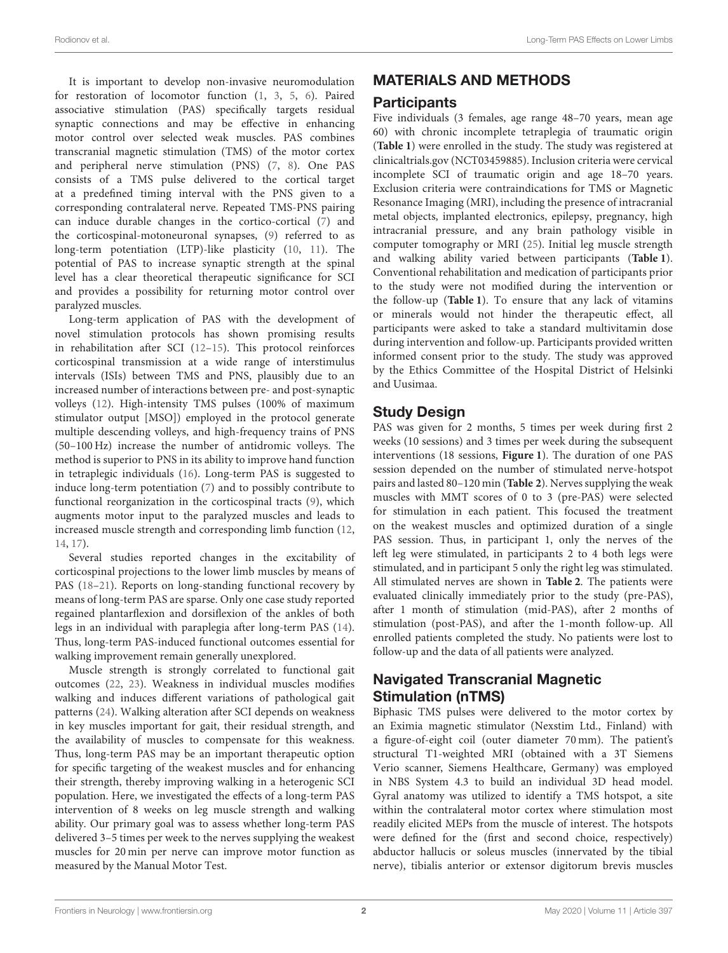It is important to develop non-invasive neuromodulation for restoration of locomotor function [\(1,](#page-8-0) [3,](#page-8-2) [5,](#page-8-4) [6\)](#page-8-5). Paired associative stimulation (PAS) specifically targets residual synaptic connections and may be effective in enhancing motor control over selected weak muscles. PAS combines transcranial magnetic stimulation (TMS) of the motor cortex and peripheral nerve stimulation (PNS) [\(7,](#page-8-6) [8\)](#page-8-7). One PAS consists of a TMS pulse delivered to the cortical target at a predefined timing interval with the PNS given to a corresponding contralateral nerve. Repeated TMS-PNS pairing can induce durable changes in the cortico-cortical [\(7\)](#page-8-6) and the corticospinal-motoneuronal synapses, [\(9\)](#page-8-8) referred to as long-term potentiation (LTP)-like plasticity [\(10,](#page-8-9) [11\)](#page-8-10). The potential of PAS to increase synaptic strength at the spinal level has a clear theoretical therapeutic significance for SCI and provides a possibility for returning motor control over paralyzed muscles.

Long-term application of PAS with the development of novel stimulation protocols has shown promising results in rehabilitation after SCI [\(12](#page-8-11)[–15\)](#page-8-12). This protocol reinforces corticospinal transmission at a wide range of interstimulus intervals (ISIs) between TMS and PNS, plausibly due to an increased number of interactions between pre- and post-synaptic volleys [\(12\)](#page-8-11). High-intensity TMS pulses (100% of maximum stimulator output [MSO]) employed in the protocol generate multiple descending volleys, and high-frequency trains of PNS (50–100 Hz) increase the number of antidromic volleys. The method is superior to PNS in its ability to improve hand function in tetraplegic individuals [\(16\)](#page-8-13). Long-term PAS is suggested to induce long-term potentiation [\(7\)](#page-8-6) and to possibly contribute to functional reorganization in the corticospinal tracts [\(9\)](#page-8-8), which augments motor input to the paralyzed muscles and leads to increased muscle strength and corresponding limb function [\(12,](#page-8-11) [14,](#page-8-14) [17\)](#page-8-15).

Several studies reported changes in the excitability of corticospinal projections to the lower limb muscles by means of PAS [\(18](#page-8-16)[–21\)](#page-8-17). Reports on long-standing functional recovery by means of long-term PAS are sparse. Only one case study reported regained plantarflexion and dorsiflexion of the ankles of both legs in an individual with paraplegia after long-term PAS [\(14\)](#page-8-14). Thus, long-term PAS-induced functional outcomes essential for walking improvement remain generally unexplored.

Muscle strength is strongly correlated to functional gait outcomes [\(22,](#page-8-18) [23\)](#page-9-0). Weakness in individual muscles modifies walking and induces different variations of pathological gait patterns [\(24\)](#page-9-1). Walking alteration after SCI depends on weakness in key muscles important for gait, their residual strength, and the availability of muscles to compensate for this weakness. Thus, long-term PAS may be an important therapeutic option for specific targeting of the weakest muscles and for enhancing their strength, thereby improving walking in a heterogenic SCI population. Here, we investigated the effects of a long-term PAS intervention of 8 weeks on leg muscle strength and walking ability. Our primary goal was to assess whether long-term PAS delivered 3–5 times per week to the nerves supplying the weakest muscles for 20 min per nerve can improve motor function as measured by the Manual Motor Test.

# MATERIALS AND METHODS

## Participants

Five individuals (3 females, age range 48–70 years, mean age 60) with chronic incomplete tetraplegia of traumatic origin (**[Table 1](#page-2-0)**) were enrolled in the study. The study was registered at [clinicaltrials.gov](www://clinicaltrials.gov) (NCT03459885). Inclusion criteria were cervical incomplete SCI of traumatic origin and age 18–70 years. Exclusion criteria were contraindications for TMS or Magnetic Resonance Imaging (MRI), including the presence of intracranial metal objects, implanted electronics, epilepsy, pregnancy, high intracranial pressure, and any brain pathology visible in computer tomography or MRI [\(25\)](#page-9-2). Initial leg muscle strength and walking ability varied between participants (**[Table 1](#page-2-0)**). Conventional rehabilitation and medication of participants prior to the study were not modified during the intervention or the follow-up (**[Table 1](#page-2-0)**). To ensure that any lack of vitamins or minerals would not hinder the therapeutic effect, all participants were asked to take a standard multivitamin dose during intervention and follow-up. Participants provided written informed consent prior to the study. The study was approved by the Ethics Committee of the Hospital District of Helsinki and Uusimaa.

# Study Design

PAS was given for 2 months, 5 times per week during first 2 weeks (10 sessions) and 3 times per week during the subsequent interventions (18 sessions, **[Figure 1](#page-2-1)**). The duration of one PAS session depended on the number of stimulated nerve-hotspot pairs and lasted 80–120 min (**[Table 2](#page-3-0)**). Nerves supplying the weak muscles with MMT scores of 0 to 3 (pre-PAS) were selected for stimulation in each patient. This focused the treatment on the weakest muscles and optimized duration of a single PAS session. Thus, in participant 1, only the nerves of the left leg were stimulated, in participants 2 to 4 both legs were stimulated, and in participant 5 only the right leg was stimulated. All stimulated nerves are shown in **[Table 2](#page-3-0)**. The patients were evaluated clinically immediately prior to the study (pre-PAS), after 1 month of stimulation (mid-PAS), after 2 months of stimulation (post-PAS), and after the 1-month follow-up. All enrolled patients completed the study. No patients were lost to follow-up and the data of all patients were analyzed.

# Navigated Transcranial Magnetic Stimulation (nTMS)

Biphasic TMS pulses were delivered to the motor cortex by an Eximia magnetic stimulator (Nexstim Ltd., Finland) with a figure-of-eight coil (outer diameter 70 mm). The patient's structural T1-weighted MRI (obtained with a 3T Siemens Verio scanner, Siemens Healthcare, Germany) was employed in NBS System 4.3 to build an individual 3D head model. Gyral anatomy was utilized to identify a TMS hotspot, a site within the contralateral motor cortex where stimulation most readily elicited MEPs from the muscle of interest. The hotspots were defined for the (first and second choice, respectively) abductor hallucis or soleus muscles (innervated by the tibial nerve), tibialis anterior or extensor digitorum brevis muscles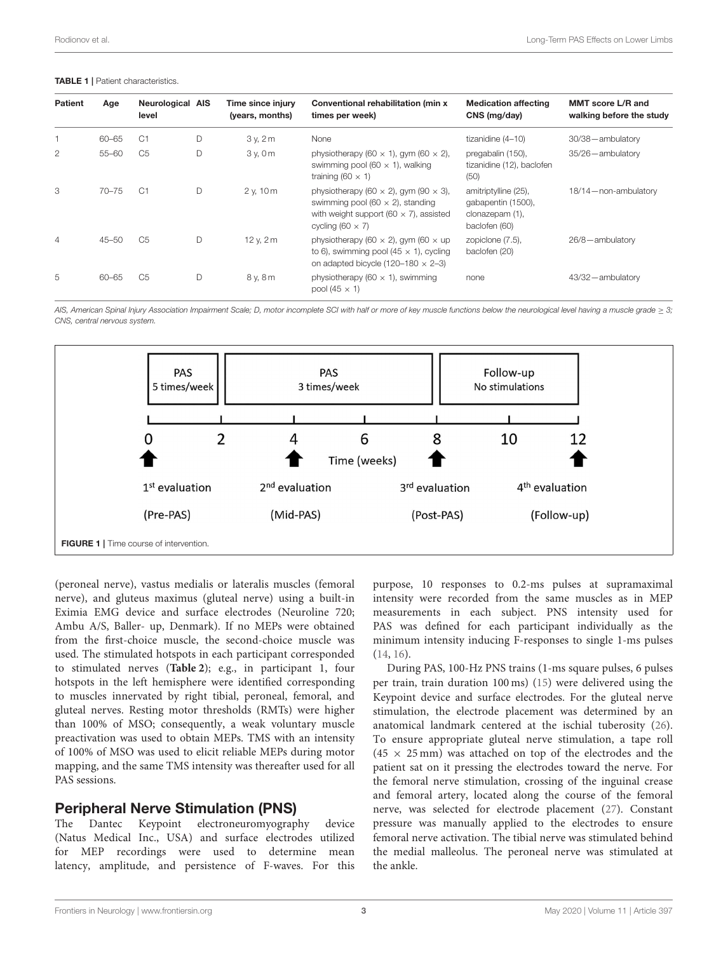#### <span id="page-2-0"></span>TABLE 1 | Patient characteristics.

| <b>Patient</b> | Age       | <b>Neurological AIS</b><br>level |   | Time since injury<br>(years, months) | Conventional rehabilitation (min x<br>times per week)                                                                                                                      | <b>Medication affecting</b><br>CNS (mg/day)                                    | <b>MMT</b> score L/R and<br>walking before the study |
|----------------|-----------|----------------------------------|---|--------------------------------------|----------------------------------------------------------------------------------------------------------------------------------------------------------------------------|--------------------------------------------------------------------------------|------------------------------------------------------|
|                | $60 - 65$ | C1                               | D | 3v, 2m                               | None                                                                                                                                                                       | tizanidine (4-10)                                                              | 30/38-ambulatory                                     |
| $\overline{2}$ | $55 - 60$ | C <sub>5</sub>                   | D | 3v.0m                                | physiotherapy (60 $\times$ 1), gym (60 $\times$ 2),<br>swimming pool (60 $\times$ 1), walking<br>training (60 $\times$ 1)                                                  | pregabalin (150),<br>tizanidine (12), baclofen<br>(50)                         | 35/26-ambulatory                                     |
| 3              | $70 - 75$ | C1                               | D | $2$ v, $10$ m                        | physiotherapy (60 $\times$ 2), gym (90 $\times$ 3),<br>swimming pool (60 $\times$ 2), standing<br>with weight support (60 $\times$ 7), assisted<br>cycling (60 $\times$ 7) | amitriptylline (25),<br>gabapentin (1500),<br>clonazepam (1),<br>baclofen (60) | 18/14 - non-ambulatory                               |
| $\overline{4}$ | $45 - 50$ | C <sub>5</sub>                   | D | 12 v, 2 m                            | physiotherapy (60 $\times$ 2), gym (60 $\times$ up<br>to 6), swimming pool (45 $\times$ 1), cycling<br>on adapted bicycle (120-180 $\times$ 2-3)                           | zopiclone (7.5),<br>baclofen (20)                                              | 26/8-ambulatory                                      |
| 5              | $60 - 65$ | C <sub>5</sub>                   | D | 8 v. 8 m                             | physiotherapy (60 $\times$ 1), swimming<br>pool (45 $\times$ 1)                                                                                                            | none                                                                           | 43/32-ambulatory                                     |

AIS, American Spinal Injury Association Impairment Scale; D, motor incomplete SCI with half or more of key muscle functions below the neurological level having a muscle grade ≥ 3; CNS, central nervous system.



<span id="page-2-1"></span>(peroneal nerve), vastus medialis or lateralis muscles (femoral nerve), and gluteus maximus (gluteal nerve) using a built-in Eximia EMG device and surface electrodes (Neuroline 720; Ambu A/S, Baller- up, Denmark). If no MEPs were obtained from the first-choice muscle, the second-choice muscle was used. The stimulated hotspots in each participant corresponded to stimulated nerves (**[Table 2](#page-3-0)**); e.g., in participant 1, four hotspots in the left hemisphere were identified corresponding to muscles innervated by right tibial, peroneal, femoral, and gluteal nerves. Resting motor thresholds (RMTs) were higher than 100% of MSO; consequently, a weak voluntary muscle preactivation was used to obtain MEPs. TMS with an intensity of 100% of MSO was used to elicit reliable MEPs during motor mapping, and the same TMS intensity was thereafter used for all PAS sessions.

## Peripheral Nerve Stimulation (PNS)

The Dantec Keypoint electroneuromyography device (Natus Medical Inc., USA) and surface electrodes utilized for MEP recordings were used to determine mean latency, amplitude, and persistence of F-waves. For this purpose, 10 responses to 0.2-ms pulses at supramaximal intensity were recorded from the same muscles as in MEP measurements in each subject. PNS intensity used for PAS was defined for each participant individually as the minimum intensity inducing F-responses to single 1-ms pulses [\(14,](#page-8-14) [16\)](#page-8-13).

During PAS, 100-Hz PNS trains (1-ms square pulses, 6 pulses per train, train duration 100 ms) [\(15\)](#page-8-12) were delivered using the Keypoint device and surface electrodes. For the gluteal nerve stimulation, the electrode placement was determined by an anatomical landmark centered at the ischial tuberosity [\(26\)](#page-9-3). To ensure appropriate gluteal nerve stimulation, a tape roll  $(45 \times 25 \text{ mm})$  was attached on top of the electrodes and the patient sat on it pressing the electrodes toward the nerve. For the femoral nerve stimulation, crossing of the inguinal crease and femoral artery, located along the course of the femoral nerve, was selected for electrode placement [\(27\)](#page-9-4). Constant pressure was manually applied to the electrodes to ensure femoral nerve activation. The tibial nerve was stimulated behind the medial malleolus. The peroneal nerve was stimulated at the ankle.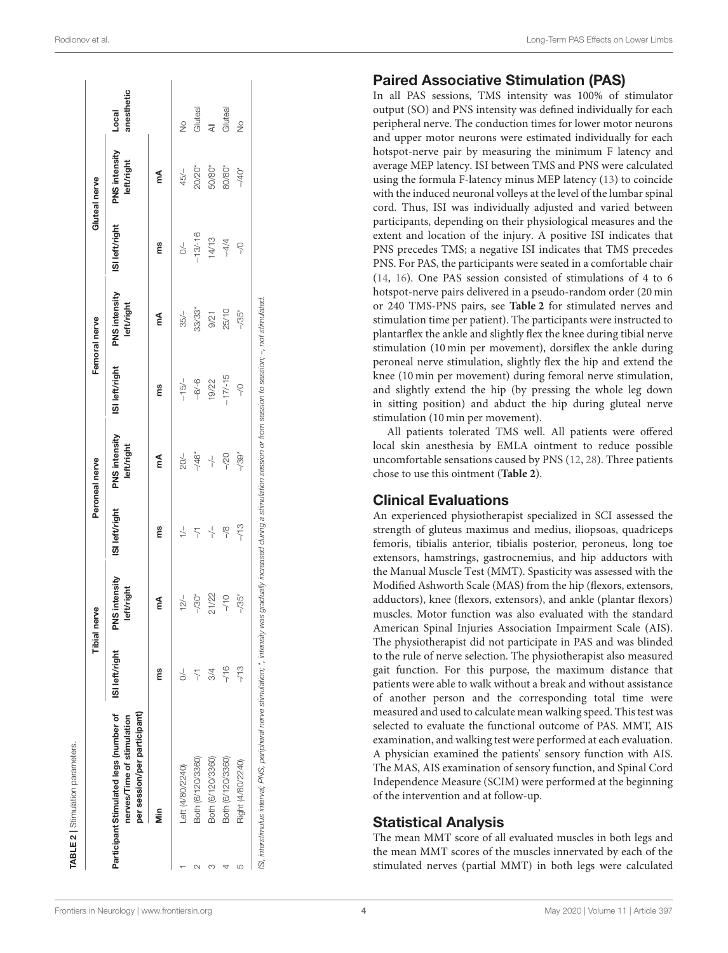|   |                                                                                                      |                   | ärve<br>Tibial ne           |                     | Peroneal nerve              |                | Femoral nerve               |                | <b>Gluteal</b> nerve        |                     |
|---|------------------------------------------------------------------------------------------------------|-------------------|-----------------------------|---------------------|-----------------------------|----------------|-----------------------------|----------------|-----------------------------|---------------------|
|   | Participant Stimulated legs (number of<br>per session/per participant)<br>nerves/Time of stimulation | ISI left/right    | PNS intensity<br>left/right | ISI left/right      | PNS intensity<br>left/right | ISI left/right | PNS intensity<br>left/right | ISI left/right | PNS intensity<br>left/right | anesthetic<br>Local |
|   | ś                                                                                                    | ms                | ₹                           | ms                  | ₹                           | ms             | ₹                           | ms             | ₹                           |                     |
|   | Left (4/80/2240)                                                                                     |                   | $12/-$                      | $\frac{1}{1}$       | $20/-$                      | $-15/-$        | $35/-$                      | $\geq$         | $45/-$                      | $\frac{1}{2}$       |
|   | Both (6/120/3360)                                                                                    | $\overline{\tau}$ | $-730*$                     | $\overline{\gamma}$ | $-46*$                      | $-6/6$         | 33/33*                      | $-13/-16$      | 20/20*                      | Gluteal             |
| m | Both (6/120/3360)                                                                                    | 3/4               | 21/22                       | $\downarrow$        | $\downarrow$                | 19/22          | 9/21                        | 14/13          | 50/80*                      | ₹                   |
|   | Both (6/120/3360)                                                                                    | $-16$             | $-70$                       | $\frac{8}{1}$       | $-20$                       | $-17/15$       | 25/10                       | $-4/4$         | 80/80*                      | Gluteal             |
| 5 | Right (4/80/2240)                                                                                    | $-13$             | $-735*$                     | $-13$               | $-739*$                     | $\frac{1}{2}$  | $-735*$                     | $\frac{1}{2}$  | $-40*$                      | $\frac{1}{2}$       |

## Paired Associative Stimulation (PAS)

In all PAS sessions, TMS intensity was 100% of stimulator output (SO) and PNS intensity was defined individually for eac h peripheral nerve. The conduction times for lower motor neuron s and upper motor neurons were estimated individually for each hotspot-nerve pair by measuring the minimum F latency and average MEP latency. ISI between TMS and PNS were calculated using the formula F-latency minus MEP latency [\(13\)](#page-8-19) to coincide with the induced neuronal volleys at the level of the lumbar spinal cord. Thus, ISI was individually adjusted and varied between participants, depending on their physiological measures and the extent and location of the injury. A positive ISI indicates tha t PNS precedes TMS; a negative ISI indicates that TMS precedes PNS. For PAS, the participants were seated in a comfortable chair [\(14,](#page-8-14) [16\)](#page-8-13). One PAS session consisted of stimulations of 4 to 6 hotspot-nerve pairs delivered in a pseudo-random order (20 min or 240 TMS-PNS pairs, see **[Table 2](#page-3-0)** for stimulated nerves and stimulation time per patient). The participants were instructed to plantarflex the ankle and slightly flex the knee during tibial nerve stimulation (10 min per movement), dorsiflex the ankle during peroneal nerve stimulation, slightly flex the hip and extend the knee (10 min per movement) during femoral nerve stimulation, and slightly extend the hip (by pressing the whole leg down in sitting position) and abduct the hip during gluteal nerve stimulation (10 min per movement).

All patients tolerated TMS well. All patients were offered local skin anesthesia by EMLA ointment to reduce possible uncomfortable sensations caused by PNS [\(12](#page-8-11) , [28\)](#page-9-5). Three patients chose to use this ointment (**[Table 2](#page-3-0)**).

## Clinical Evaluations

An experienced physiotherapist specialized in SCI assessed the strength of gluteus maximus and medius, iliopsoas, quadriceps femoris, tibialis anterior, tibialis posterior, peroneus, long toe extensors, hamstrings, gastrocnemius, and hip adductors with the Manual Muscle Test (MMT). Spasticity was assessed with the Modified Ashworth Scale (MAS) from the hip (flexors, extensors, adductors), knee (flexors, extensors), and ankle (plantar flexors) muscles. Motor function was also evaluated with the standard American Spinal Injuries Association Impairment Scale (AIS) . The physiotherapist did not participate in PAS and was blinded to the rule of nerve selection. The physiotherapist also measure d gait function. For this purpose, the maximum distance that patients were able to walk without a break and without assistanc e of another person and the corresponding total time were measured and used to calculate mean walking speed. This test was selected to evaluate the functional outcome of PAS. MMT, AIS examination, and walking test were performed at each evaluation. A physician examined the patients' sensory function with AIS. The MAS, AIS examination of sensory function, and Spinal Cord Independence Measure (SCIM) were performed at the beginning of the intervention and at follow-up.

## <span id="page-3-0"></span>Statistical Analysis

The mean MMT score of all evaluated muscles in both legs and the mean MMT scores of the muscles innervated by each of the stimulated nerves (partial MMT) in both legs were calculated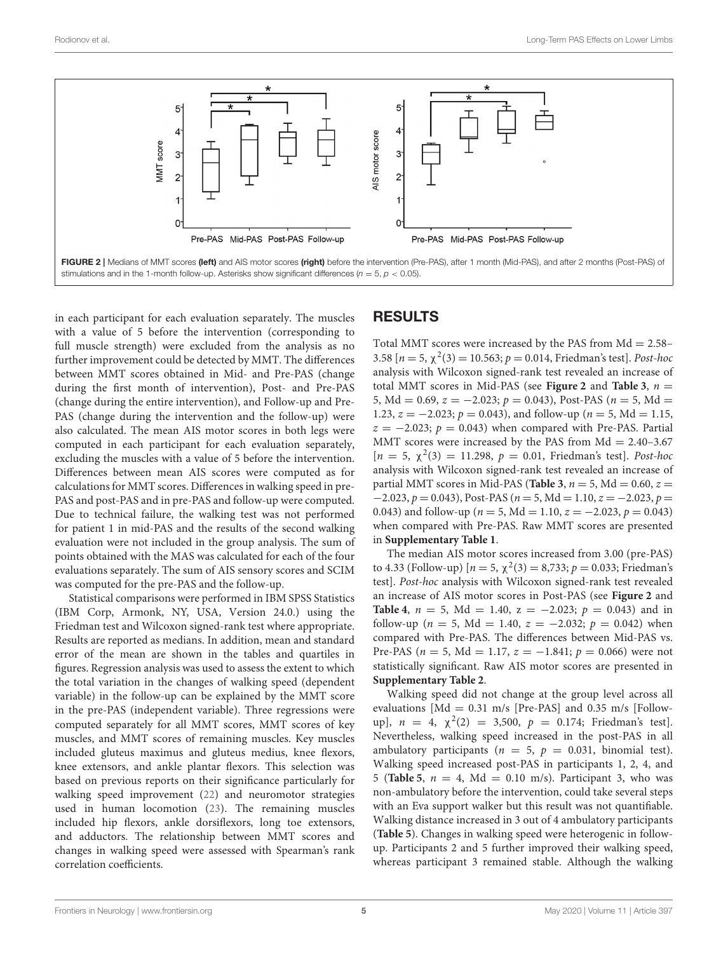

<span id="page-4-0"></span>in each participant for each evaluation separately. The muscles with a value of 5 before the intervention (corresponding to full muscle strength) were excluded from the analysis as no further improvement could be detected by MMT. The differences between MMT scores obtained in Mid- and Pre-PAS (change during the first month of intervention), Post- and Pre-PAS (change during the entire intervention), and Follow-up and Pre-PAS (change during the intervention and the follow-up) were also calculated. The mean AIS motor scores in both legs were computed in each participant for each evaluation separately, excluding the muscles with a value of 5 before the intervention. Differences between mean AIS scores were computed as for calculations for MMT scores. Differences in walking speed in pre-PAS and post-PAS and in pre-PAS and follow-up were computed. Due to technical failure, the walking test was not performed for patient 1 in mid-PAS and the results of the second walking evaluation were not included in the group analysis. The sum of points obtained with the MAS was calculated for each of the four evaluations separately. The sum of AIS sensory scores and SCIM was computed for the pre-PAS and the follow-up.

Statistical comparisons were performed in IBM SPSS Statistics (IBM Corp, Armonk, NY, USA, Version 24.0.) using the Friedman test and Wilcoxon signed-rank test where appropriate. Results are reported as medians. In addition, mean and standard error of the mean are shown in the tables and quartiles in figures. Regression analysis was used to assess the extent to which the total variation in the changes of walking speed (dependent variable) in the follow-up can be explained by the MMT score in the pre-PAS (independent variable). Three regressions were computed separately for all MMT scores, MMT scores of key muscles, and MMT scores of remaining muscles. Key muscles included gluteus maximus and gluteus medius, knee flexors, knee extensors, and ankle plantar flexors. This selection was based on previous reports on their significance particularly for walking speed improvement [\(22\)](#page-8-18) and neuromotor strategies used in human locomotion [\(23\)](#page-9-0). The remaining muscles included hip flexors, ankle dorsiflexors, long toe extensors, and adductors. The relationship between MMT scores and changes in walking speed were assessed with Spearman's rank correlation coefficients.

# **RESULTS**

Total MMT scores were increased by the PAS from  $Md = 2.58-$ 3.58  $[n = 5, \chi^2(3) = 10.563; p = 0.014$ , Friedman's test]. *Post-hoc* analysis with Wilcoxon signed-rank test revealed an increase of total MMT scores in Mid-PAS (see **[Figure 2](#page-4-0)** and **[Table 3](#page-5-0)**,  $n =$ 5, Md = 0.69,  $z = -2.023$ ;  $p = 0.043$ ), Post-PAS ( $n = 5$ , Md = 1.23,  $z = -2.023$ ;  $p = 0.043$ ), and follow-up ( $n = 5$ , Md = 1.15,  $z = -2.023$ ;  $p = 0.043$ ) when compared with Pre-PAS. Partial MMT scores were increased by the PAS from  $Md = 2.40 - 3.67$  $[n = 5, χ<sup>2</sup>(3) = 11.298, p = 0.01, Friedman's test].$  Post-hoc analysis with Wilcoxon signed-rank test revealed an increase of partial MMT scores in Mid-PAS (**[Table 3](#page-5-0)**,  $n = 5$ , Md = 0.60,  $z =$  $-2.023$ ,  $p = 0.043$ ), Post-PAS ( $n = 5$ , Md = 1.10,  $z = -2.023$ ,  $p =$ 0.043) and follow-up ( $n = 5$ , Md = 1.10,  $z = -2.023$ ,  $p = 0.043$ ) when compared with Pre-PAS. Raw MMT scores are presented in **[Supplementary Table 1](#page-8-20)**.

The median AIS motor scores increased from 3.00 (pre-PAS) to 4.33 (Follow-up)  $[n = 5, \chi^2(3) = 8,733; p = 0.033;$  Friedman's test]. Post-hoc analysis with Wilcoxon signed-rank test revealed an increase of AIS motor scores in Post-PAS (see **[Figure 2](#page-4-0)** and **[Table 4](#page-6-0)**,  $n = 5$ , Md = 1.40,  $z = -2.023$ ;  $p = 0.043$ ) and in follow-up ( $n = 5$ , Md = 1.40,  $z = -2.032$ ;  $p = 0.042$ ) when compared with Pre-PAS. The differences between Mid-PAS vs. Pre-PAS ( $n = 5$ , Md = 1.17,  $z = -1.841$ ;  $p = 0.066$ ) were not statistically significant. Raw AIS motor scores are presented in **[Supplementary Table 2](#page-8-20)**.

Walking speed did not change at the group level across all evaluations [Md = 0.31 m/s [Pre-PAS] and 0.35 m/s [Followup],  $n = 4$ ,  $\chi^2(2) = 3,500$ ,  $p = 0.174$ ; Friedman's test]. Nevertheless, walking speed increased in the post-PAS in all ambulatory participants ( $n = 5$ ,  $p = 0.031$ , binomial test). Walking speed increased post-PAS in participants 1, 2, 4, and 5 (**[Table 5](#page-6-1)**,  $n = 4$ , Md = 0.10 m/s). Participant 3, who was non-ambulatory before the intervention, could take several steps with an Eva support walker but this result was not quantifiable. Walking distance increased in 3 out of 4 ambulatory participants (**[Table 5](#page-6-1)**). Changes in walking speed were heterogenic in followup. Participants 2 and 5 further improved their walking speed, whereas participant 3 remained stable. Although the walking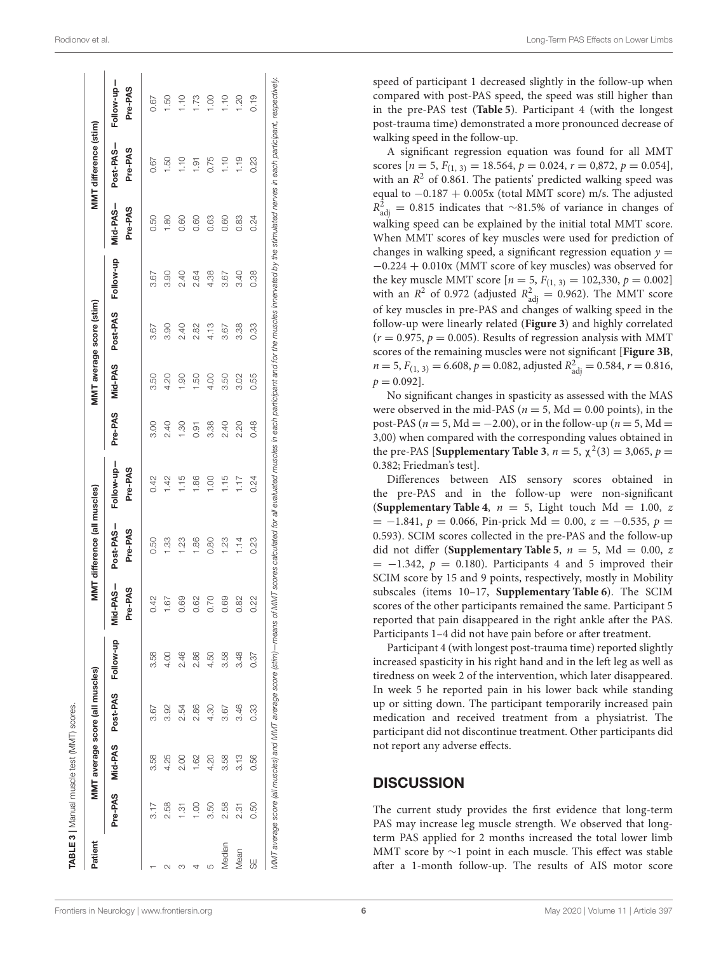| Patient |               |      | MMT average score (all muscles)    |                 |                       | MMT difference (all muscles) |                       |         |                | MMT average score (stim) |           |                     | MMT difference (stim) |                       |
|---------|---------------|------|------------------------------------|-----------------|-----------------------|------------------------------|-----------------------|---------|----------------|--------------------------|-----------|---------------------|-----------------------|-----------------------|
|         |               |      | Pre-PAS Mid-PAS Post-PAS Follow-up |                 | -PAS-<br>Pre-PAS<br>ĕ | Post-PAS-<br>Pre-PAS         | Follow-up-<br>Pre-PAS | Pre-PAS | Mid-PAS        | Post-PAS                 | Follow-up | Mid-PAS-<br>Pre-PAS | Post-PAS-<br>Pre-PAS  | Follow-up-<br>Pre-PAS |
|         | 3.17          | 3.58 | 3.67                               | 3.58            | 42                    | 0.50                         | 0.42                  | 3.00    | 3.50           | 3.67                     | 3.67      | 0.50                | 0.67                  | 0.67                  |
|         | 2.58          | 4.25 | 3.92                               | 00 <sup>1</sup> | 57                    | $\frac{33}{2}$               | 1.42                  | 2.40    | 4.20           | 3.90                     | 3.90      | $\frac{80}{1}$      | $\frac{50}{2}$        | <b>1.50</b>           |
| S       | $\frac{5}{1}$ | 2.00 | 2.54                               | 2.46            | 89                    | 1.23                         | 1.15                  | 1.30    | $\frac{00}{1}$ | 2.40                     | 2.40      | 0.60                | 1.10                  | 1.10                  |
|         | 8<br>=        | 1.62 | 2.86                               | 2.86            | 8                     | 1.86                         | 1.86                  | 0.91    | 1.50           | 2.82                     | 2.64      | 0.60                | $-1.91$               | 1.73                  |
| LO      | 3.50          | 4.20 | 4.30                               | 4.50            | 07.                   | 0.80                         | 1.00                  | 3.38    | 4.00           | 4.13                     | 4.38      | 0.63                | 0.75                  | 1.00                  |
| Median  | 2.58          | 3.58 | 3.67                               | 3.58            | 89                    | 1.23                         | 1.15                  | 2.40    | 3.50           | 3.67                     | 3.67      | 0.60                | $\frac{1}{1}$         | 1.10                  |
| Mean    | 231           | 3.13 | 3.46                               | 3.48            | 82                    | 1.14                         | 1.17                  | 2.20    | 3.02           | 3.38                     | 3.40      | 0.83                | 1.19                  | 1.20                  |
| 58      | 0.50          | 0.56 | 0.33                               | 0.37            | Ş                     | 0.23                         | 0.24                  | 0.48    | 0.55           | 0.33                     | 0.38      | 0.24                | 0.23                  | 0.19                  |

speed of participant 1 decreased slightly in the follow-up when compared with post-PAS speed, the speed was still higher than in the pre-PAS test (**[Table 5](#page-6-1)**). Participant 4 (with the longest post-trauma time) demonstrated a more pronounced decrease of walking speed in the follow-up. A significant regression equation was found for all MMT

scores  $[n = 5, F_{(1, 3)} = 18.564, p = 0.024, r = 0.872, p = 0.054]$ with an  $R^2$  of 0.861. The patients' predicted walking speed was equal to −0.187 + 0.005x (total MMT score) m/s. The adjusted  $R^2_{\text{adj}} = 0.815$  indicates that ∼81.5% of variance in changes of walking speed can be explained by the initial total MMT score. When MMT scores of key muscles were used for prediction of changes in walking speed, a significant regression equation  $y =$ −0.224 + 0.010x (MMT score of key muscles) was observed for the key muscle MMT score  $[n = 5, F_{(1, 3)} = 102,330, p = 0.002]$ with an  $R^2$  of 0.972 (adjusted  $R^2_{\text{adj}} = 0.962$ ). The MMT score of key muscles in pre-PAS and changes of walking speed in the follow-up were linearly related (**[Figure 3](#page-6-2)**) and highly correlated  $(r = 0.975, p = 0.005)$ . Results of regression analysis with MMT scores of the remaining muscles were not significant [**[Figure 3B](#page-6-2)** ,  $n = 5$ ,  $F_{(1, 3)} = 6.608$ ,  $p = 0.082$ , adjusted  $R<sup>2</sup><sub>adj</sub> = 0.584$ ,  $r = 0.816$ ,  $p = 0.092$ .

No significant changes in spasticity as assessed with the MAS were observed in the mid-PAS ( $n = 5$ , Md = 0.00 points), in the post-PAS ( $n = 5$ , Md = -2.00), or in the follow-up ( $n = 5$ , Md = 3,00) when compared with the corresponding values obtained in the pre-PAS [**[Supplementary Table 3](#page-8-20)**,  $n = 5$ ,  $\chi^2(3) = 3,065$ ,  $p =$ 0.382; Friedman's test].

Differences between AIS sensory scores obtained in the pre-PAS and in the follow-up were non-significant **([Supplementary Table 4](#page-8-20),**  $n = 5$ **, Light touch Md = 1.00, z**  $= -1.841, p = 0.066, Pin-prick Md = 0.00, z = -0.535, p =$ 0.593). SCIM scores collected in the pre-PAS and the follow-u p did not differ (**[Supplementary Table 5](#page-8-20)**,  $n = 5$ , Md = 0.00, z  $=$  -1.342,  $p = 0.180$ ). Participants 4 and 5 improved their SCIM score by 15 and 9 points, respectively, mostly in Mobility subscales (items 10–17, **[Supplementary Table 6](#page-8-20)**). The SCIM scores of the other participants remained the same. Participant 5 reported that pain disappeared in the right ankle after the PAS. Participants 1–4 did not have pain before or after treatment.

Participant 4 (with longest post-trauma time) reported slightl y increased spasticity in his right hand and in the left leg as well as tiredness on week 2 of the intervention, which later disappeared. In week 5 he reported pain in his lower back while standing up or sitting down. The participant temporarily increased pain medication and received treatment from a physiatrist. The participant did not discontinue treatment. Other participants did not report any adverse effects.

## <span id="page-5-0"></span>**DISCUSSION**

The current study provides the first evidence that long-term PAS may increase leg muscle strength. We observed that longterm PAS applied for 2 months increased the total lower limb MMT score by ~1 point in each muscle. This effect was stable after a 1-month follow-up. The results of AIS motor score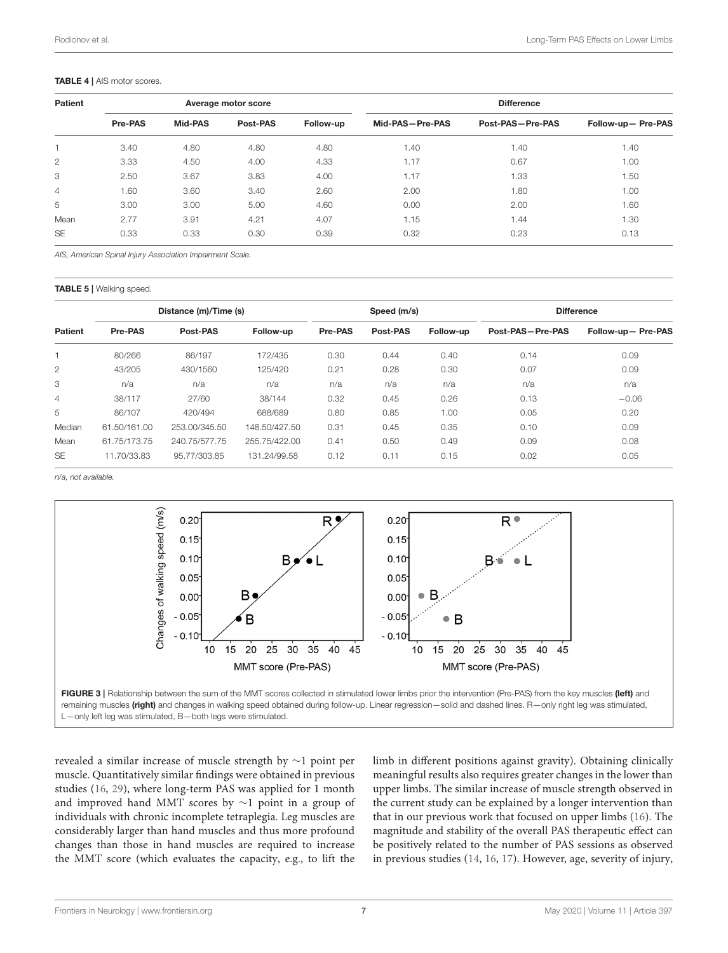<span id="page-6-0"></span>

| Patient        |         |         | Average motor score |           | <b>Difference</b> |                  |                    |  |
|----------------|---------|---------|---------------------|-----------|-------------------|------------------|--------------------|--|
|                | Pre-PAS | Mid-PAS | Post-PAS            | Follow-up | Mid-PAS-Pre-PAS   | Post-PAS-Pre-PAS | Follow-up- Pre-PAS |  |
|                | 3.40    | 4.80    | 4.80                | 4.80      | 1.40              | 1.40             | 1.40               |  |
| 2              | 3.33    | 4.50    | 4.00                | 4.33      | 1.17              | 0.67             | 1.00               |  |
| 3              | 2.50    | 3.67    | 3.83                | 4.00      | 1.17              | 1.33             | 1.50               |  |
| $\overline{4}$ | 1.60    | 3.60    | 3.40                | 2.60      | 2.00              | 1.80             | 1.00               |  |
| 5              | 3.00    | 3.00    | 5.00                | 4.60      | 0.00              | 2.00             | 1.60               |  |
| Mean           | 2.77    | 3.91    | 4.21                | 4.07      | 1.15              | 1.44             | 1.30               |  |
| <b>SE</b>      | 0.33    | 0.33    | 0.30                | 0.39      | 0.32              | 0.23             | 0.13               |  |

AIS, American Spinal Injury Association Impairment Scale.

<span id="page-6-1"></span>TABLE 5 | Walking speed.

|                |              | Distance (m)/Time (s) |               |         | Speed (m/s) |           |                  | <b>Difference</b>  |
|----------------|--------------|-----------------------|---------------|---------|-------------|-----------|------------------|--------------------|
| <b>Patient</b> | Pre-PAS      | Post-PAS              | Follow-up     | Pre-PAS | Post-PAS    | Follow-up | Post-PAS-Pre-PAS | Follow-up- Pre-PAS |
|                | 80/266       | 86/197                | 172/435       | 0.30    | 0.44        | 0.40      | 0.14             | 0.09               |
| $\overline{2}$ | 43/205       | 430/1560              | 125/420       | 0.21    | 0.28        | 0.30      | 0.07             | 0.09               |
| 3              | n/a          | n/a                   | n/a           | n/a     | n/a         | n/a       | n/a              | n/a                |
| $\overline{4}$ | 38/117       | 27/60                 | 38/144        | 0.32    | 0.45        | 0.26      | 0.13             | $-0.06$            |
| 5              | 86/107       | 420/494               | 688/689       | 0.80    | 0.85        | 1.00      | 0.05             | 0.20               |
| Median         | 61.50/161.00 | 253.00/345.50         | 148.50/427.50 | 0.31    | 0.45        | 0.35      | 0.10             | 0.09               |
| Mean           | 61.75/173.75 | 240.75/577.75         | 255.75/422.00 | 0.41    | 0.50        | 0.49      | 0.09             | 0.08               |
| <b>SE</b>      | 11.70/33.83  | 95.77/303.85          | 131.24/99.58  | 0.12    | 0.11        | 0.15      | 0.02             | 0.05               |

n/a, not available.



<span id="page-6-2"></span>remaining muscles (right) and changes in walking speed obtained during follow-up. Linear regression-solid and dashed lines. R-only right leg was stimulated, L—only left leg was stimulated, B—both legs were stimulated.

revealed a similar increase of muscle strength by ∼1 point per muscle. Quantitatively similar findings were obtained in previous studies [\(16,](#page-8-13) [29\)](#page-9-6), where long-term PAS was applied for 1 month and improved hand MMT scores by ∼1 point in a group of individuals with chronic incomplete tetraplegia. Leg muscles are considerably larger than hand muscles and thus more profound changes than those in hand muscles are required to increase the MMT score (which evaluates the capacity, e.g., to lift the limb in different positions against gravity). Obtaining clinically meaningful results also requires greater changes in the lower than upper limbs. The similar increase of muscle strength observed in the current study can be explained by a longer intervention than that in our previous work that focused on upper limbs [\(16\)](#page-8-13). The magnitude and stability of the overall PAS therapeutic effect can be positively related to the number of PAS sessions as observed in previous studies [\(14,](#page-8-14) [16,](#page-8-13) [17\)](#page-8-15). However, age, severity of injury,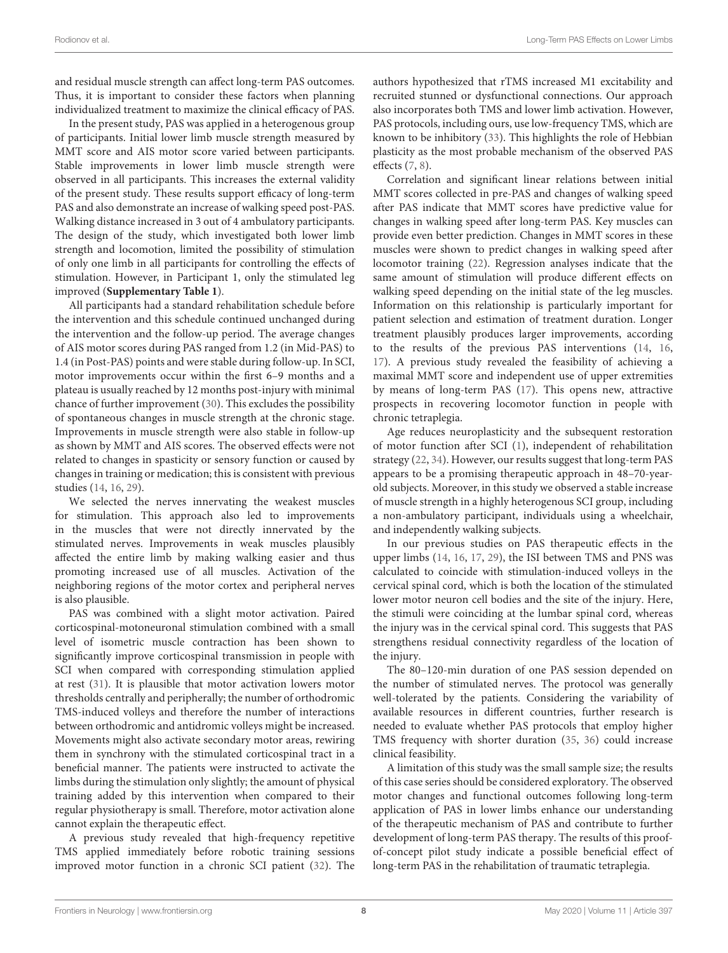and residual muscle strength can affect long-term PAS outcomes. Thus, it is important to consider these factors when planning individualized treatment to maximize the clinical efficacy of PAS.

In the present study, PAS was applied in a heterogenous group of participants. Initial lower limb muscle strength measured by MMT score and AIS motor score varied between participants. Stable improvements in lower limb muscle strength were observed in all participants. This increases the external validity of the present study. These results support efficacy of long-term PAS and also demonstrate an increase of walking speed post-PAS. Walking distance increased in 3 out of 4 ambulatory participants. The design of the study, which investigated both lower limb strength and locomotion, limited the possibility of stimulation of only one limb in all participants for controlling the effects of stimulation. However, in Participant 1, only the stimulated leg improved (**[Supplementary Table 1](#page-8-20)**).

All participants had a standard rehabilitation schedule before the intervention and this schedule continued unchanged during the intervention and the follow-up period. The average changes of AIS motor scores during PAS ranged from 1.2 (in Mid-PAS) to 1.4 (in Post-PAS) points and were stable during follow-up. In SCI, motor improvements occur within the first 6–9 months and a plateau is usually reached by 12 months post-injury with minimal chance of further improvement [\(30\)](#page-9-7). This excludes the possibility of spontaneous changes in muscle strength at the chronic stage. Improvements in muscle strength were also stable in follow-up as shown by MMT and AIS scores. The observed effects were not related to changes in spasticity or sensory function or caused by changes in training or medication; this is consistent with previous studies [\(14,](#page-8-14) [16,](#page-8-13) [29\)](#page-9-6).

We selected the nerves innervating the weakest muscles for stimulation. This approach also led to improvements in the muscles that were not directly innervated by the stimulated nerves. Improvements in weak muscles plausibly affected the entire limb by making walking easier and thus promoting increased use of all muscles. Activation of the neighboring regions of the motor cortex and peripheral nerves is also plausible.

PAS was combined with a slight motor activation. Paired corticospinal-motoneuronal stimulation combined with a small level of isometric muscle contraction has been shown to significantly improve corticospinal transmission in people with SCI when compared with corresponding stimulation applied at rest [\(31\)](#page-9-8). It is plausible that motor activation lowers motor thresholds centrally and peripherally; the number of orthodromic TMS-induced volleys and therefore the number of interactions between orthodromic and antidromic volleys might be increased. Movements might also activate secondary motor areas, rewiring them in synchrony with the stimulated corticospinal tract in a beneficial manner. The patients were instructed to activate the limbs during the stimulation only slightly; the amount of physical training added by this intervention when compared to their regular physiotherapy is small. Therefore, motor activation alone cannot explain the therapeutic effect.

A previous study revealed that high-frequency repetitive TMS applied immediately before robotic training sessions improved motor function in a chronic SCI patient [\(32\)](#page-9-9). The authors hypothesized that rTMS increased M1 excitability and recruited stunned or dysfunctional connections. Our approach also incorporates both TMS and lower limb activation. However, PAS protocols, including ours, use low-frequency TMS, which are known to be inhibitory [\(33\)](#page-9-10). This highlights the role of Hebbian plasticity as the most probable mechanism of the observed PAS effects [\(7,](#page-8-6) [8\)](#page-8-7).

Correlation and significant linear relations between initial MMT scores collected in pre-PAS and changes of walking speed after PAS indicate that MMT scores have predictive value for changes in walking speed after long-term PAS. Key muscles can provide even better prediction. Changes in MMT scores in these muscles were shown to predict changes in walking speed after locomotor training [\(22\)](#page-8-18). Regression analyses indicate that the same amount of stimulation will produce different effects on walking speed depending on the initial state of the leg muscles. Information on this relationship is particularly important for patient selection and estimation of treatment duration. Longer treatment plausibly produces larger improvements, according to the results of the previous PAS interventions [\(14,](#page-8-14) [16,](#page-8-13) [17\)](#page-8-15). A previous study revealed the feasibility of achieving a maximal MMT score and independent use of upper extremities by means of long-term PAS [\(17\)](#page-8-15). This opens new, attractive prospects in recovering locomotor function in people with chronic tetraplegia.

Age reduces neuroplasticity and the subsequent restoration of motor function after SCI [\(1\)](#page-8-0), independent of rehabilitation strategy [\(22,](#page-8-18) [34\)](#page-9-11). However, our results suggest that long-term PAS appears to be a promising therapeutic approach in 48–70-yearold subjects. Moreover, in this study we observed a stable increase of muscle strength in a highly heterogenous SCI group, including a non-ambulatory participant, individuals using a wheelchair, and independently walking subjects.

In our previous studies on PAS therapeutic effects in the upper limbs [\(14,](#page-8-14) [16,](#page-8-13) [17,](#page-8-15) [29\)](#page-9-6), the ISI between TMS and PNS was calculated to coincide with stimulation-induced volleys in the cervical spinal cord, which is both the location of the stimulated lower motor neuron cell bodies and the site of the injury. Here, the stimuli were coinciding at the lumbar spinal cord, whereas the injury was in the cervical spinal cord. This suggests that PAS strengthens residual connectivity regardless of the location of the injury.

The 80–120-min duration of one PAS session depended on the number of stimulated nerves. The protocol was generally well-tolerated by the patients. Considering the variability of available resources in different countries, further research is needed to evaluate whether PAS protocols that employ higher TMS frequency with shorter duration [\(35,](#page-9-12) [36\)](#page-9-13) could increase clinical feasibility.

A limitation of this study was the small sample size; the results of this case series should be considered exploratory. The observed motor changes and functional outcomes following long-term application of PAS in lower limbs enhance our understanding of the therapeutic mechanism of PAS and contribute to further development of long-term PAS therapy. The results of this proofof-concept pilot study indicate a possible beneficial effect of long-term PAS in the rehabilitation of traumatic tetraplegia.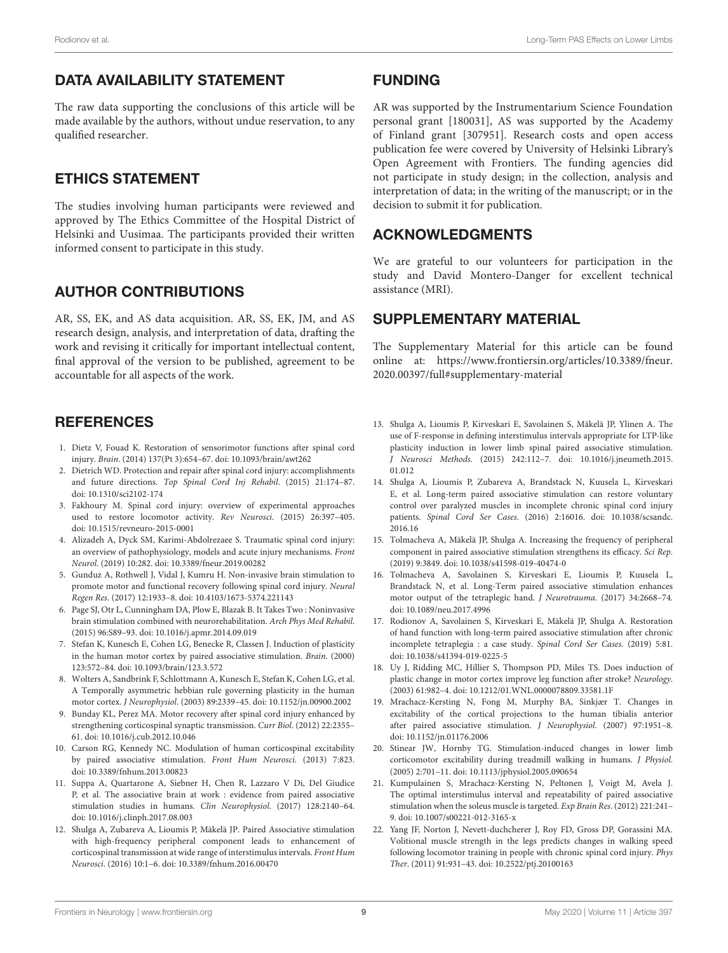# DATA AVAILABILITY STATEMENT

The raw data supporting the conclusions of this article will be made available by the authors, without undue reservation, to any qualified researcher.

# ETHICS STATEMENT

The studies involving human participants were reviewed and approved by The Ethics Committee of the Hospital District of Helsinki and Uusimaa. The participants provided their written informed consent to participate in this study.

# AUTHOR CONTRIBUTIONS

AR, SS, EK, and AS data acquisition. AR, SS, EK, JM, and AS research design, analysis, and interpretation of data, drafting the work and revising it critically for important intellectual content, final approval of the version to be published, agreement to be accountable for all aspects of the work.

# **REFERENCES**

- <span id="page-8-0"></span>1. Dietz V, Fouad K. Restoration of sensorimotor functions after spinal cord injury. Brain. (2014) 137(Pt 3):654–67. doi: [10.1093/brain/awt262](https://doi.org/10.1093/brain/awt262)
- <span id="page-8-1"></span>2. Dietrich WD. Protection and repair after spinal cord injury: accomplishments and future directions. Top Spinal Cord Inj Rehabil. (2015) 21:174–87. doi: [10.1310/sci2102-174](https://doi.org/10.1310/sci2102-174)
- <span id="page-8-2"></span>3. Fakhoury M. Spinal cord injury: overview of experimental approaches used to restore locomotor activity. Rev Neurosci. (2015) 26:397–405. doi: [10.1515/revneuro-2015-0001](https://doi.org/10.1515/revneuro-2015-0001)
- <span id="page-8-3"></span>4. Alizadeh A, Dyck SM, Karimi-Abdolrezaee S. Traumatic spinal cord injury: an overview of pathophysiology, models and acute injury mechanisms. Front Neurol. (2019) 10:282. doi: [10.3389/fneur.2019.00282](https://doi.org/10.3389/fneur.2019.00282)
- <span id="page-8-4"></span>5. Gunduz A, Rothwell J, Vidal J, Kumru H. Non-invasive brain stimulation to promote motor and functional recovery following spinal cord injury. Neural Regen Res. (2017) 12:1933–8. doi: [10.4103/1673-5374.221143](https://doi.org/10.4103/1673-5374.221143)
- <span id="page-8-5"></span>6. Page SJ, Otr L, Cunningham DA, Plow E, Blazak B. It Takes Two : Noninvasive brain stimulation combined with neurorehabilitation. Arch Phys Med Rehabil. (2015) 96:S89–93. doi: [10.1016/j.apmr.2014.09.019](https://doi.org/10.1016/j.apmr.2014.09.019)
- <span id="page-8-6"></span>7. Stefan K, Kunesch E, Cohen LG, Benecke R, Classen J. Induction of plasticity in the human motor cortex by paired associative stimulation. Brain. (2000) 123:572–84. doi: [10.1093/brain/123.3.572](https://doi.org/10.1093/brain/123.3.572)
- <span id="page-8-7"></span>8. Wolters A, Sandbrink F, Schlottmann A, Kunesch E, Stefan K, Cohen LG, et al. A Temporally asymmetric hebbian rule governing plasticity in the human motor cortex. J Neurophysiol. (2003) 89:2339–45. doi: [10.1152/jn.00900.2002](https://doi.org/10.1152/jn.00900.2002)
- <span id="page-8-8"></span>9. Bunday KL, Perez MA. Motor recovery after spinal cord injury enhanced by strengthening corticospinal synaptic transmission. Curr Biol. (2012) 22:2355– 61. doi: [10.1016/j.cub.2012.10.046](https://doi.org/10.1016/j.cub.2012.10.046)
- <span id="page-8-9"></span>10. Carson RG, Kennedy NC. Modulation of human corticospinal excitability by paired associative stimulation. Front Hum Neurosci. (2013) 7:823. doi: [10.3389/fnhum.2013.00823](https://doi.org/10.3389/fnhum.2013.00823)
- <span id="page-8-10"></span>11. Suppa A, Quartarone A, Siebner H, Chen R, Lazzaro V Di, Del Giudice P, et al. The associative brain at work : evidence from paired associative stimulation studies in humans. Clin Neurophysiol. (2017) 128:2140–64. doi: [10.1016/j.clinph.2017.08.003](https://doi.org/10.1016/j.clinph.2017.08.003)
- <span id="page-8-11"></span>12. Shulga A, Zubareva A, Lioumis P, Mäkelä JP. Paired Associative stimulation with high-frequency peripheral component leads to enhancement of corticospinal transmission at wide range of interstimulus intervals. Front Hum Neurosci. (2016) 10:1–6. doi: [10.3389/fnhum.2016.00470](https://doi.org/10.3389/fnhum.2016.00470)

# FUNDING

AR was supported by the Instrumentarium Science Foundation personal grant [180031], AS was supported by the Academy of Finland grant [307951]. Research costs and open access publication fee were covered by University of Helsinki Library's Open Agreement with Frontiers. The funding agencies did not participate in study design; in the collection, analysis and interpretation of data; in the writing of the manuscript; or in the decision to submit it for publication.

# ACKNOWLEDGMENTS

We are grateful to our volunteers for participation in the study and David Montero-Danger for excellent technical assistance (MRI).

# SUPPLEMENTARY MATERIAL

<span id="page-8-20"></span>The Supplementary Material for this article can be found [online at: https://www.frontiersin.org/articles/10.3389/fneur.](https://www.frontiersin.org/articles/10.3389/fneur.2020.00397/full#supplementary-material) 2020.00397/full#supplementary-material

- <span id="page-8-19"></span>13. Shulga A, Lioumis P, Kirveskari E, Savolainen S, Mäkelä JP, Ylinen A. The use of F-response in defining interstimulus intervals appropriate for LTP-like plasticity induction in lower limb spinal paired associative stimulation. J Neurosci Methods[. \(2015\) 242:112–7. doi: 10.1016/j.jneumeth.2015.](https://doi.org/10.1016/j.jneumeth.2015.01.012) 01.012
- <span id="page-8-14"></span>14. Shulga A, Lioumis P, Zubareva A, Brandstack N, Kuusela L, Kirveskari E, et al. Long-term paired associative stimulation can restore voluntary control over paralyzed muscles in incomplete chronic spinal cord injury patients. Spinal Cord Ser Cases[. \(2016\) 2:16016. doi: 10.1038/scsandc.](https://doi.org/10.1038/scsandc.2016.16) 2016.16
- <span id="page-8-12"></span>15. Tolmacheva A, Mäkelä JP, Shulga A. Increasing the frequency of peripheral component in paired associative stimulation strengthens its efficacy. Sci Rep. (2019) 9:3849. doi: [10.1038/s41598-019-40474-0](https://doi.org/10.1038/s41598-019-40474-0)
- <span id="page-8-13"></span>16. Tolmacheva A, Savolainen S, Kirveskari E, Lioumis P, Kuusela L, Brandstack N, et al. Long-Term paired associative stimulation enhances motor output of the tetraplegic hand. J Neurotrauma. (2017) 34:2668–74. doi: [10.1089/neu.2017.4996](https://doi.org/10.1089/neu.2017.4996)
- <span id="page-8-15"></span>17. Rodionov A, Savolainen S, Kirveskari E, Mäkelä JP, Shulga A. Restoration of hand function with long-term paired associative stimulation after chronic incomplete tetraplegia : a case study. Spinal Cord Ser Cases. (2019) 5:81. doi: [10.1038/s41394-019-0225-5](https://doi.org/10.1038/s41394-019-0225-5)
- <span id="page-8-16"></span>18. Uy J, Ridding MC, Hillier S, Thompson PD, Miles TS. Does induction of plastic change in motor cortex improve leg function after stroke? Neurology. (2003) 61:982–4. doi: [10.1212/01.WNL.0000078809.33581.1F](https://doi.org/10.1212/01.WNL.0000078809.33581.1F)
- 19. Mrachacz-Kersting N, Fong M, Murphy BA, Sinkjær T. Changes in excitability of the cortical projections to the human tibialis anterior after paired associative stimulation. J Neurophysiol. (2007) 97:1951–8. doi: [10.1152/jn.01176.2006](https://doi.org/10.1152/jn.01176.2006)
- 20. Stinear JW, Hornby TG. Stimulation-induced changes in lower limb corticomotor excitability during treadmill walking in humans. J Physiol. (2005) 2:701–11. doi: [10.1113/jphysiol.2005.090654](https://doi.org/10.1113/jphysiol.2005.090654)
- <span id="page-8-17"></span>21. Kumpulainen S, Mrachacz-Kersting N, Peltonen J, Voigt M, Avela J. The optimal interstimulus interval and repeatability of paired associative stimulation when the soleus muscle is targeted. Exp Brain Res. (2012) 221:241-9. doi: [10.1007/s00221-012-3165-x](https://doi.org/10.1007/s00221-012-3165-x)
- <span id="page-8-18"></span>22. Yang JF, Norton J, Nevett-duchcherer J, Roy FD, Gross DP, Gorassini MA. Volitional muscle strength in the legs predicts changes in walking speed following locomotor training in people with chronic spinal cord injury. Phys Ther. (2011) 91:931–43. doi: [10.2522/ptj.20100163](https://doi.org/10.2522/ptj.20100163)